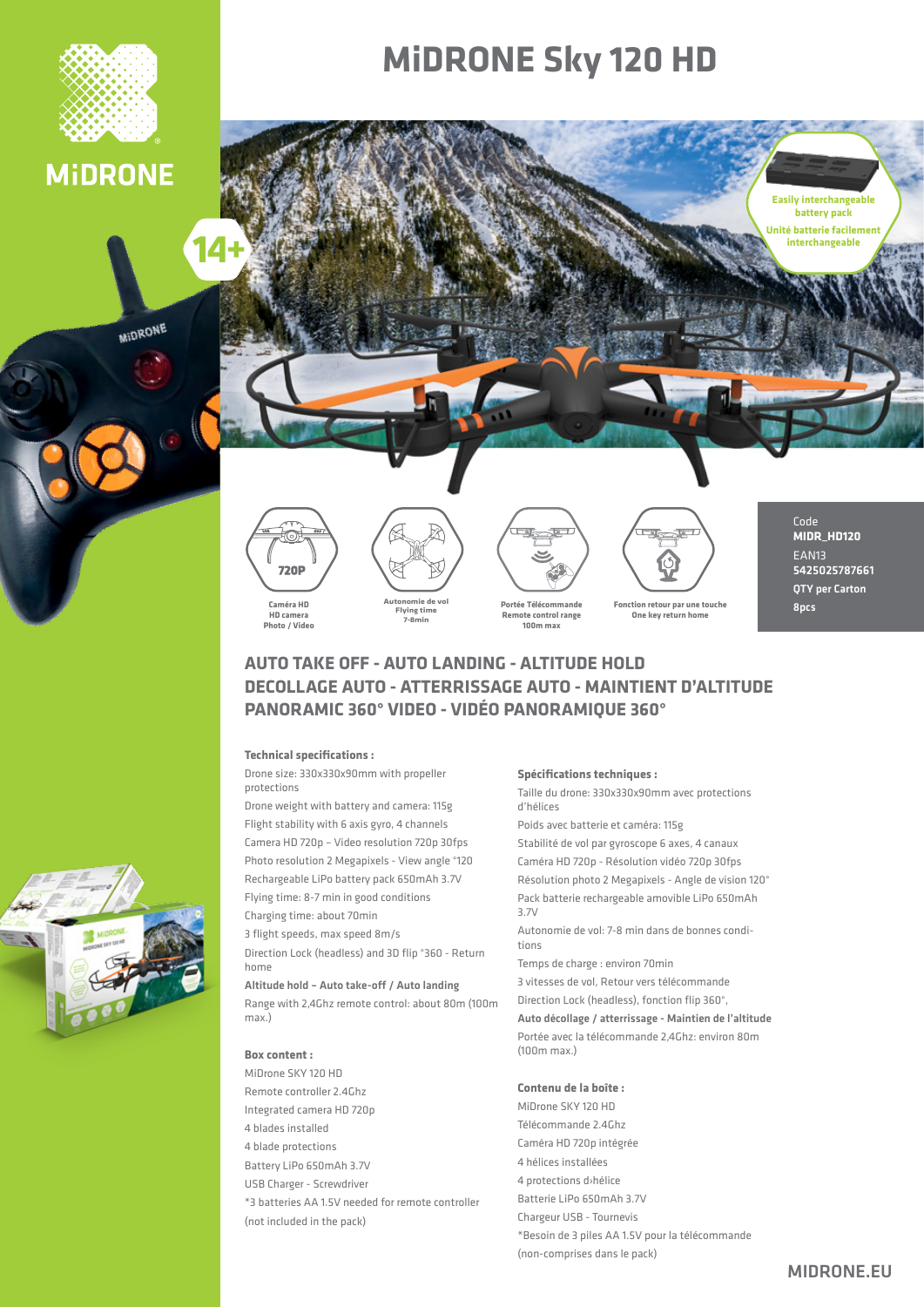

### **MIDRONE**

MIDRONE

14

## **MIDRONE Sky 120 HD**









```
Fonction retour par une toucher
One key return home
```
Code **MIDR\_HD120** EAN<sub>13</sub> 5425025787661 QTY per Carton **Rncs** 

**Easily interchangeable battery** pack **Unité batterie facilement interchangeable**

### **AUTO TAKE OFF - AUTO LANDING - ALTITUDE HOLD DECOLLAGE AUTO - ATTERRISSAGE AUTO - MAINTIENT D'ALTITUDE** PANORAMIC 360° VIDEO - VIDÉO PANORAMIOUE 360°

#### **Technical specifications :**

Drone size: 330x330x90mm with propeller protections

Drone weight with battery and camera: 115g Flight stability with 6 axis gyro, 4 channels Camera HD 720p - Video resolution 720p 30fps Photo resolution 2 Megapixels - View angle °120 Rechargeable LiPo battery pack 650 mAh 3.7V Flying time: 8-7 min in good conditions Charging time: about 70 min

3 flight speeds, max speed 8m/s

Direction Lock (headless) and 3D flip °360 - Return home

Altitude hold - Auto take-off / Auto landing

Range with 2,4Ghz remote control: about 80m (100m (.max

#### **Box** content :

MiDrone SKY 120 HD Remote controller 2.4 Ghz Integrated camera HD 720p 4 blades installed 4 blade protections Battery LiPo 650mAh 3.7V USB Charger - Screwdriver <sup>\*</sup>3 batteries AA 1.5V needed for remote controller (not included in the pack)

#### **Spécifications techniques :**

Taille du drone: 330x330x90mm avec protections d'hélices Poids avec batterie et caméra: 115g Stabilité de vol par gyroscope 6 axes, 4 canaux Caméra HD 720p - Résolution vidéo 720p 30fps Résolution photo 2 Megapixels - Angle de vision 120° Pack batterie rechargeable amovible LiPo 650mAh V3.7 Autonomie de vol: 7-8 min dans de bonnes condi-<br>tions Temps de charge : environ 70 min 3 vitesses de vol. Retour vers télécommande Direction Lock (headless), fonction flip 360°,

Auto décollage / atterrissage - Maintien de l'altitude Portée avec la télécommande 2.4 Ghz; environ 80 m  $(100m \text{ max.})$ 

#### Contenu de la boîte :

MiDrone SKY 120 HD Télécommande 2.4 Ghz Caméra HD 720p intégrée 4 hélices installées 4 protections d>hélice Batterie LiPo 650mAh 3.7V Chargeur USB - Tournevis \*Besoin de 3 piles AA 1.5V pour la télécommande (non-comprises dans le pack)